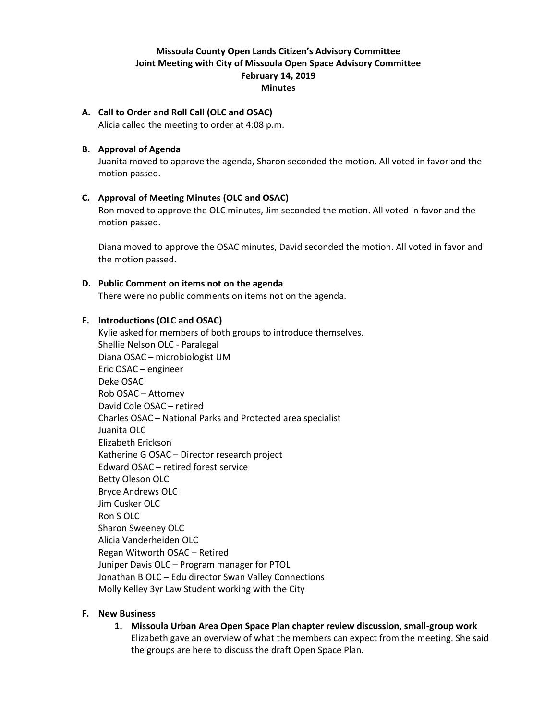# **Missoula County Open Lands Citizen's Advisory Committee Joint Meeting with City of Missoula Open Space Advisory Committee February 14, 2019 Minutes**

**A. Call to Order and Roll Call (OLC and OSAC)** Alicia called the meeting to order at 4:08 p.m.

## **B. Approval of Agenda**

Juanita moved to approve the agenda, Sharon seconded the motion. All voted in favor and the motion passed.

## **C. Approval of Meeting Minutes (OLC and OSAC)**

Ron moved to approve the OLC minutes, Jim seconded the motion. All voted in favor and the motion passed.

Diana moved to approve the OSAC minutes, David seconded the motion. All voted in favor and the motion passed.

### **D. Public Comment on items not on the agenda**

There were no public comments on items not on the agenda.

### **E. Introductions (OLC and OSAC)**

Kylie asked for members of both groups to introduce themselves. Shellie Nelson OLC - Paralegal Diana OSAC – microbiologist UM Eric OSAC – engineer Deke OSAC Rob OSAC – Attorney David Cole OSAC – retired Charles OSAC – National Parks and Protected area specialist Juanita OLC Elizabeth Erickson Katherine G OSAC – Director research project Edward OSAC – retired forest service Betty Oleson OLC Bryce Andrews OLC Jim Cusker OLC Ron S OLC Sharon Sweeney OLC Alicia Vanderheiden OLC Regan Witworth OSAC – Retired Juniper Davis OLC – Program manager for PTOL Jonathan B OLC – Edu director Swan Valley Connections Molly Kelley 3yr Law Student working with the City

### **F. New Business**

**1. Missoula Urban Area Open Space Plan chapter review discussion, small-group work** Elizabeth gave an overview of what the members can expect from the meeting. She said the groups are here to discuss the draft Open Space Plan.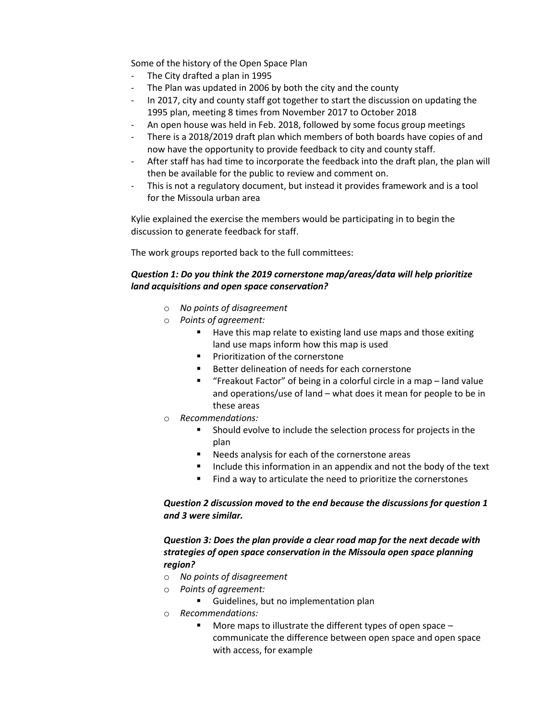Some of the history of the Open Space Plan

- The City drafted a plan in 1995
- The Plan was updated in 2006 by both the city and the county
- In 2017, city and county staff got together to start the discussion on updating the 1995 plan, meeting 8 times from November 2017 to October 2018
- An open house was held in Feb. 2018, followed by some focus group meetings
- There is a 2018/2019 draft plan which members of both boards have copies of and now have the opportunity to provide feedback to city and county staff.
- After staff has had time to incorporate the feedback into the draft plan, the plan will then be available for the public to review and comment on.
- This is not a regulatory document, but instead it provides framework and is a tool for the Missoula urban area

Kylie explained the exercise the members would be participating in to begin the discussion to generate feedback for staff.

The work groups reported back to the full committees:

## *Question 1: Do you think the 2019 cornerstone map/areas/data will help prioritize land acquisitions and open space conservation?*

- o *No points of disagreement*
- o *Points of agreement:*
	- Have this map relate to existing land use maps and those exiting land use maps inform how this map is used
	- Prioritization of the cornerstone
	- Better delineation of needs for each cornerstone
	- "Freakout Factor" of being in a colorful circle in a map land value and operations/use of land – what does it mean for people to be in these areas
- o *Recommendations:*
	- Should evolve to include the selection process for projects in the plan
	- Needs analysis for each of the cornerstone areas
	- Include this information in an appendix and not the body of the text
	- Find a way to articulate the need to prioritize the cornerstones

## *Question 2 discussion moved to the end because the discussions for question 1 and 3 were similar.*

## *Question 3: Does the plan provide a clear road map for the next decade with strategies of open space conservation in the Missoula open space planning region?*

- o *No points of disagreement*
- o *Points of agreement:*
	- Guidelines, but no implementation plan
- o *Recommendations:*
	- More maps to illustrate the different types of open space  $$ communicate the difference between open space and open space with access, for example